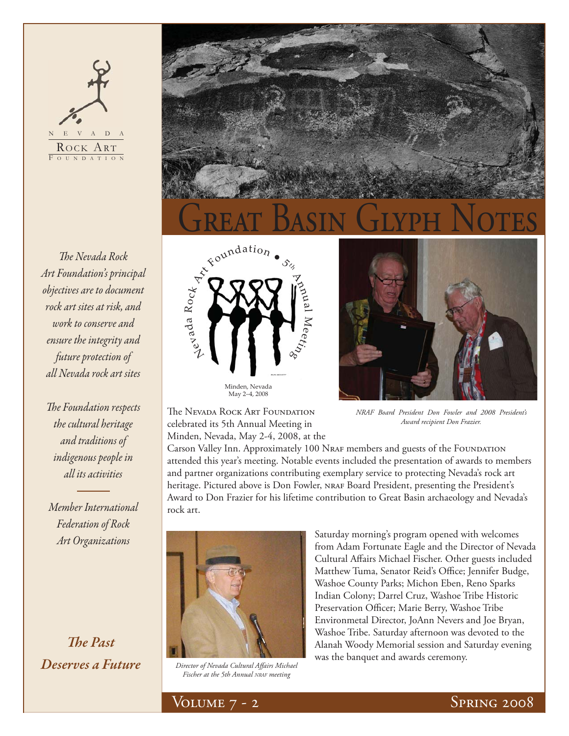## $\,$  V  $\,$  A  $\,$  D  $\,$ ROCK ART OUNDATION

**The Nevada Rock** *Art Foundation's principal objectives are to document rock art sites at risk, and work to conserve and ensure the integrity and future protection of all Nevada rock art sites*

**The Foundation respects** *the cultural heritage and traditions of indigenous people in all its activities*

*Member International Federation of Rock Art Organizations*

**The Past** *Deserves a Future*







The Nevada Rock Art Foundation celebrated its 5th Annual Meeting in Minden, Nevada, May 2-4, 2008, at the

May 2–4, 2008

*NRAF Board President Don Fowler and 2008 President's Award recipient Don Frazier.* 

Carson Valley Inn. Approximately 100 NRAF members and guests of the FOUNDATION attended this year's meeting. Notable events included the presentation of awards to members and partner organizations contributing exemplary service to protecting Nevada's rock art heritage. Pictured above is Don Fowler, NRAF Board President, presenting the President's Award to Don Frazier for his lifetime contribution to Great Basin archaeology and Nevada's rock art.



*Director of Nevada Cultural Aff airs Michael Fischer at the 5th Annual NRAF meeting*

Saturday morning's program opened with welcomes from Adam Fortunate Eagle and the Director of Nevada Cultural Affairs Michael Fischer. Other guests included Matthew Tuma, Senator Reid's Office; Jennifer Budge, Washoe County Parks; Michon Eben, Reno Sparks Indian Colony; Darrel Cruz, Washoe Tribe Historic Preservation Officer; Marie Berry, Washoe Tribe Environmetal Director, JoAnn Nevers and Joe Bryan, Washoe Tribe. Saturday afternoon was devoted to the Alanah Woody Memorial session and Saturday evening was the banquet and awards ceremony.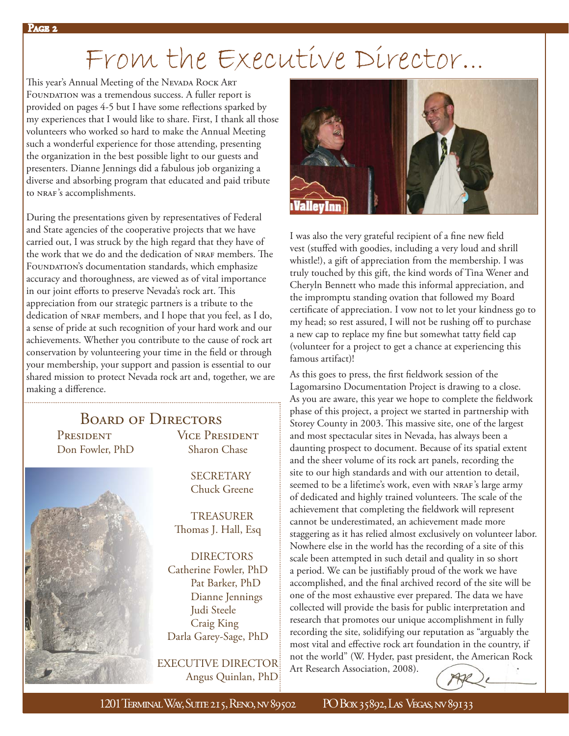# From the Executive Director...<br>This year's Annual Meeting of the Nevada Rock Art

FOUNDATION was a tremendous success. A fuller report is provided on pages 4-5 but I have some reflections sparked by my experiences that I would like to share. First, I thank all those volunteers who worked so hard to make the Annual Meeting such a wonderful experience for those attending, presenting the organization in the best possible light to our guests and presenters. Dianne Jennings did a fabulous job organizing a diverse and absorbing program that educated and paid tribute to NRAF's accomplishments.

During the presentations given by representatives of Federal and State agencies of the cooperative projects that we have carried out, I was struck by the high regard that they have of the work that we do and the dedication of NRAF members. The FOUNDATION's documentation standards, which emphasize accuracy and thoroughness, are viewed as of vital importance in our joint efforts to preserve Nevada's rock art. This appreciation from our strategic partners is a tribute to the dedication of NRAF members, and I hope that you feel, as I do, a sense of pride at such recognition of your hard work and our achievements. Whether you contribute to the cause of rock art conservation by volunteering your time in the field or through your membership, your support and passion is essential to our shared mission to protect Nevada rock art and, together, we are making a difference.

### Board of Directors

PRESIDENT VICE PRESIDENT Don Fowler, PhD Sharon Chase



**SECRETARY** Chuck Greene

 TREASURER Thomas J. Hall, Esq

 DIRECTORS Catherine Fowler, PhD Pat Barker, PhD Dianne Jennings Judi Steele Craig King Darla Garey-Sage, PhD

 EXECUTIVE DIRECTOR Angus Quinlan, PhD



I was also the very grateful recipient of a fine new field vest (stuffed with goodies, including a very loud and shrill whistle!), a gift of appreciation from the membership. I was truly touched by this gift, the kind words of Tina Wener and Cheryln Bennett who made this informal appreciation, and the impromptu standing ovation that followed my Board certificate of appreciation. I vow not to let your kindness go to my head; so rest assured, I will not be rushing off to purchase a new cap to replace my fine but somewhat tatty field cap (volunteer for a project to get a chance at experiencing this famous artifact)!

As this goes to press, the first fieldwork session of the Lagomarsino Documentation Project is drawing to a close. As you are aware, this year we hope to complete the fieldwork phase of this project, a project we started in partnership with Storey County in 2003. This massive site, one of the largest and most spectacular sites in Nevada, has always been a daunting prospect to document. Because of its spatial extent and the sheer volume of its rock art panels, recording the site to our high standards and with our attention to detail, seemed to be a lifetime's work, even with NRAF's large army of dedicated and highly trained volunteers. The scale of the achievement that completing the fieldwork will represent cannot be underestimated, an achievement made more staggering as it has relied almost exclusively on volunteer labor. Nowhere else in the world has the recording of a site of this scale been attempted in such detail and quality in so short a period. We can be justifiably proud of the work we have accomplished, and the final archived record of the site will be one of the most exhaustive ever prepared. The data we have collected will provide the basis for public interpretation and research that promotes our unique accomplishment in fully recording the site, solidifying our reputation as "arguably the most vital and effective rock art foundation in the country, if not the world" (W. Hyder, past president, the American Rock Art Research Association, 2008).

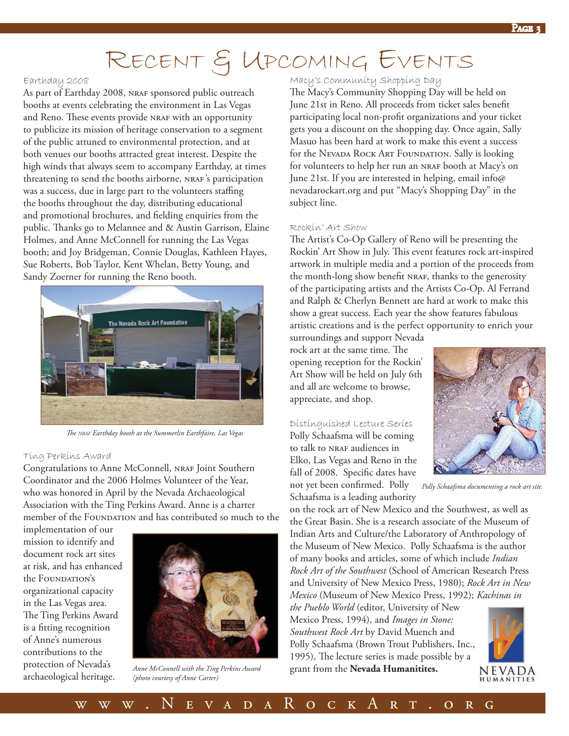## RECENT & UPCOMING EVENTS

#### Earthday 2008

As part of Earthday 2008, NRAF sponsored public outreach booths at events celebrating the environment in Las Vegas and Reno. These events provide NRAF with an opportunity to publicize its mission of heritage conservation to a segment of the public attuned to environmental protection, and at both venues our booths attracted great interest. Despite the high winds that always seem to accompany Earthday, at times threatening to send the booths airborne, NRAF's participation was a success, due in large part to the volunteers staffing the booths throughout the day, distributing educational and promotional brochures, and fielding enquiries from the public. Thanks go to Melannee and & Austin Garrison, Elaine Holmes, and Anne McConnell for running the Las Vegas booth; and Joy Bridgeman, Connie Douglas, Kathleen Hayes, Sue Roberts, Bob Taylor, Kent Whelan, Betty Young, and Sandy Zoerner for running the Reno booth.



*Th e NRAF Earthday booth at the Summerlin Earthfaire, Las Vegas*

#### Ting Perkins Award

Congratulations to Anne McConnell, NRAF Joint Southern Coordinator and the 2006 Holmes Volunteer of the Year, who was honored in April by the Nevada Archaeological Association with the Ting Perkins Award. Anne is a charter member of the FOUNDATION and has contributed so much to the

implementation of our mission to identify and document rock art sites at risk, and has enhanced the FOUNDATION's organizational capacity in the Las Vegas area. The Ting Perkins Award is a fitting recognition of Anne's numerous contributions to the protection of Nevada's archaeological heritage.



*Anne McConnell with the Ting Perkins Award (photo courtesy of Anne Carter)*

#### Macy's Community Shopping Day

The Macy's Community Shopping Day will be held on June 21st in Reno. All proceeds from ticket sales benefit participating local non-profit organizations and your ticket gets you a discount on the shopping day. Once again, Sally Masuo has been hard at work to make this event a success for the Nevada Rock Art Foundation. Sally is looking for volunteers to help her run an NRAF booth at Macy's on June 21st. If you are interested in helping, email info@ nevadarockart.org and put "Macy's Shopping Day" in the subject line.

#### Rockin' Art Show

The Artist's Co-Op Gallery of Reno will be presenting the Rockin' Art Show in July. This event features rock art-inspired artwork in multiple media and a portion of the proceeds from the month-long show benefit NRAF, thanks to the generosity of the participating artists and the Artists Co-Op. Al Ferrand and Ralph & Cherlyn Bennett are hard at work to make this show a great success. Each year the show features fabulous artistic creations and is the perfect opportunity to enrich your

surroundings and support Nevada rock art at the same time. The opening reception for the Rockin' Art Show will be held on July 6th and all are welcome to browse, appreciate, and shop.

#### Distinguished Lecture Series

Polly Schaafsma will be coming to talk to NRAF audiences in Elko, Las Vegas and Reno in the fall of 2008. Specific dates have not yet been confirmed. Polly



*Polly Schaafsma documenting a rock art site.*

Schaafsma is a leading authority on the rock art of New Mexico and the Southwest, as well as the Great Basin. She is a research associate of the Museum of Indian Arts and Culture/the Laboratory of Anthropology of the Museum of New Mexico. Polly Schaafsma is the author of many books and articles, some of which include *Indian Rock Art of the Southwest* (School of American Research Press and University of New Mexico Press, 1980); *Rock Art in New Mexico* (Museum of New Mexico Press, 1992); *Kachinas in* 

*the Pueblo World* (editor, University of New Mexico Press, 1994), and *Images in Stone: Southwest Rock Art* by David Muench and Polly Schaafsma (Brown Trout Publishers, Inc., 1995), The lecture series is made possible by a grant from the **Nevada Humanitites.**

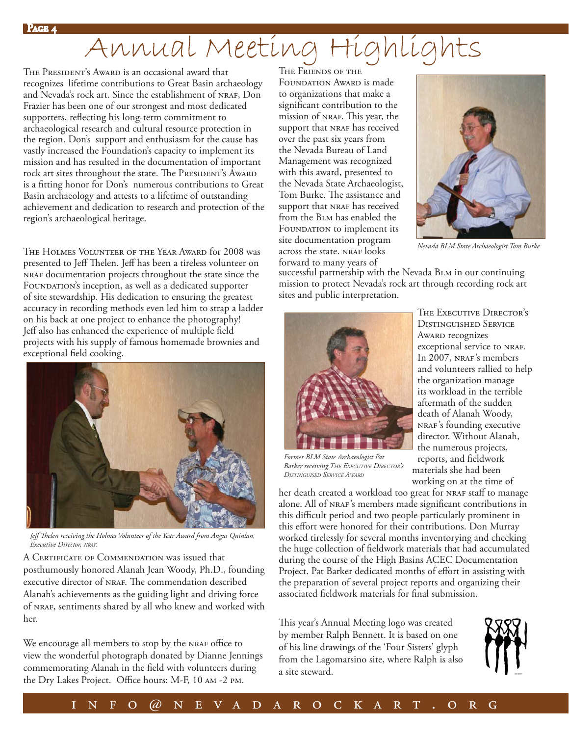## Annual Meeting Highlights

THE PRESIDENT'S AWARD is an occasional award that recognizes lifetime contributions to Great Basin archaeology and Nevada's rock art. Since the establishment of NRAF, Don Frazier has been one of our strongest and most dedicated supporters, reflecting his long-term commitment to archaeological research and cultural resource protection in the region. Don's support and enthusiasm for the cause has vastly increased the Foundation's capacity to implement its mission and has resulted in the documentation of important rock art sites throughout the state. The PRESIDENT's AWARD is a fitting honor for Don's numerous contributions to Great Basin archaeology and attests to a lifetime of outstanding achievement and dedication to research and protection of the region's archaeological heritage.

The Holmes Volunteer of the Year Award for 2008 was presented to Jeff Thelen. Jeff has been a tireless volunteer on nraf documentation projects throughout the state since the FOUNDATION's inception, as well as a dedicated supporter of site stewardship. His dedication to ensuring the greatest accuracy in recording methods even led him to strap a ladder on his back at one project to enhance the photography! Jeff also has enhanced the experience of multiple field projects with his supply of famous homemade brownies and exceptional field cooking.



Jeff Thelen receiving the Holmes Volunteer of the Year Award from Angus Quinlan, *Executive Director, NRAF.*

A CERTIFICATE OF COMMENDATION was issued that posthumously honored Alanah Jean Woody, Ph.D., founding executive director of NRAF. The commendation described Alanah's achievements as the guiding light and driving force of NRAF, sentiments shared by all who knew and worked with her.

We encourage all members to stop by the NRAF office to view the wonderful photograph donated by Dianne Jennings commemorating Alanah in the field with volunteers during the Dry Lakes Project. Office hours: M-F, 10 AM -2 PM.

#### The Friends of the

FOUNDATION AWARD is made to organizations that make a significant contribution to the mission of NRAF. This year, the support that NRAF has received over the past six years from the Nevada Bureau of Land Management was recognized with this award, presented to the Nevada State Archaeologist, Tom Burke. The assistance and support that NRAF has received from the Blm has enabled the FOUNDATION to implement its site documentation program across the state. NRAF looks forward to many years of



*Nevada BLM State Archaeologist Tom Burke*

successful partnership with the Nevada BLM in our continuing mission to protect Nevada's rock art through recording rock art sites and public interpretation.



THE EXECUTIVE DIRECTOR'S Distinguished Service Award recognizes exceptional service to NRAF. In 2007, NRAF's members and volunteers rallied to help the organization manage its workload in the terrible aftermath of the sudden death of Alanah Woody, nraf's founding executive director. Without Alanah, the numerous projects, reports, and fieldwork materials she had been working on at the time of

*Former BLM State Archaeologist Pat Barker receiving THE EXECUTIVE DIRECTOR'S DISTINGUISED SERVICE AWARD*

her death created a workload too great for NRAF staff to manage alone. All of NRAF's members made significant contributions in this difficult period and two people particularly prominent in this effort were honored for their contributions. Don Murray worked tirelessly for several months inventorying and checking the huge collection of fieldwork materials that had accumulated during the course of the High Basins ACEC Documentation Project. Pat Barker dedicated months of effort in assisting with the preparation of several project reports and organizing their associated fieldwork materials for final submission.

This year's Annual Meeting logo was created by member Ralph Bennett. It is based on one of his line drawings of the 'Four Sisters' glyph from the Lagomarsino site, where Ralph is also a site steward.

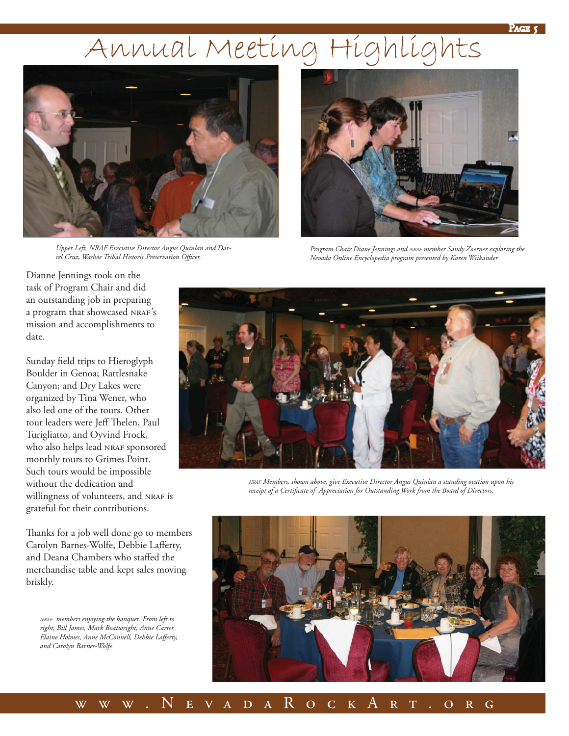#### Page 5

## Annual Meeting Highlights



*Upper Left, NRAF Executive Director Angus Quinlan and Darrel Cruz, Washoe Tribal Historic Preservation Offi cer.*



*Program Chair Diane Jennings and NRAF member Sandy Zoerner exploring the Nevada Online Encyclopedia program presented by Karen Wiikander*

Dianne Jennings took on the task of Program Chair and did an outstanding job in preparing a program that showcased NRAF's mission and accomplishments to date.

Sunday field trips to Hieroglyph Boulder in Genoa; Rattlesnake Canyon; and Dry Lakes were organized by Tina Wener, who also led one of the tours. Other tour leaders were Jeff Thelen, Paul Turigliatto, and Oyvind Frock, who also helps lead NRAF sponsored monthly tours to Grimes Point. Such tours would be impossible without the dedication and willingness of volunteers, and NRAF is grateful for their contributions.

Thanks for a job well done go to members Carolyn Barnes-Wolfe, Debbie Lafferty, and Deana Chambers who staffed the merchandise table and kept sales moving briskly.

*NRAF members enjoying the banquet. From left to right, Bill James, Mark Boatwright, Anne Carter,*  Elaine Holmes, Anne McConnell, Debbie Lafferty, *and Carolyn Barnes-Wolfe*



*NRAF Members, shown above, give Executive Director Angus Quinlan a standing ovation upon his*  receipt of a Certificate of Appreciation for Outstanding Work from the Board of Directors.

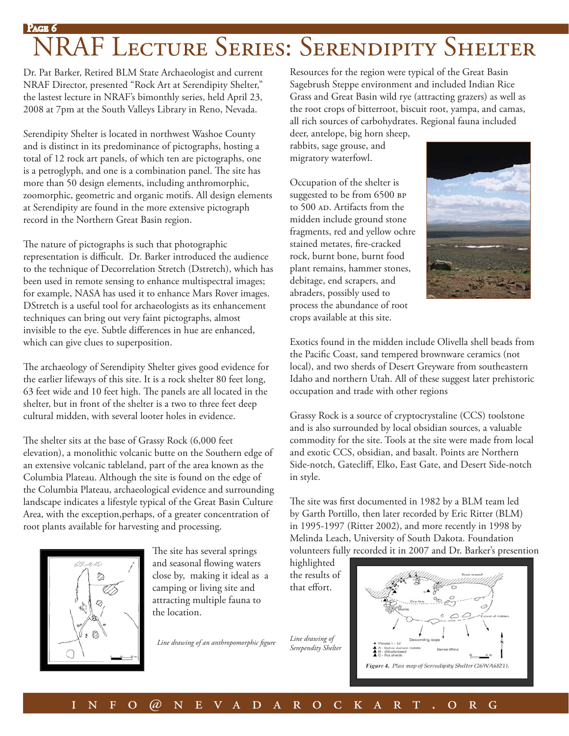### Page RAF LECTURE SERIES: SERENDIPITY SHELTER

Dr. Pat Barker, Retired BLM State Archaeologist and current NRAF Director, presented "Rock Art at Serendipity Shelter," the lastest lecture in NRAF's bimonthly series, held April 23, 2008 at 7pm at the South Valleys Library in Reno, Nevada.

Serendipity Shelter is located in northwest Washoe County and is distinct in its predominance of pictographs, hosting a total of 12 rock art panels, of which ten are pictographs, one is a petroglyph, and one is a combination panel. The site has more than 50 design elements, including anthromorphic, zoomorphic, geometric and organic motifs. All design elements at Serendipity are found in the more extensive pictograph record in the Northern Great Basin region.

The nature of pictographs is such that photographic representation is difficult. Dr. Barker introduced the audience to the technique of Decorrelation Stretch (Dstretch), which has been used in remote sensing to enhance multispectral images; for example, NASA has used it to enhance Mars Rover images. DStretch is a useful tool for archaeologists as its enhancement techniques can bring out very faint pictographs, almost invisible to the eye. Subtle differences in hue are enhanced, which can give clues to superposition.

The archaeology of Serendipity Shelter gives good evidence for the earlier lifeways of this site. It is a rock shelter 80 feet long, 63 feet wide and 10 feet high. The panels are all located in the shelter, but in front of the shelter is a two to three feet deep cultural midden, with several looter holes in evidence.

The shelter sits at the base of Grassy Rock (6,000 feet) elevation), a monolithic volcanic butte on the Southern edge of an extensive volcanic tableland, part of the area known as the Columbia Plateau. Although the site is found on the edge of the Columbia Plateau, archaeological evidence and surrounding landscape indicates a lifestyle typical of the Great Basin Culture Area, with the exception,perhaps, of a greater concentration of root plants available for harvesting and processing.



The site has several springs and seasonal flowing waters close by, making it ideal as a camping or living site and attracting multiple fauna to the location.

Line drawing of an anthropomorphic figure

Resources for the region were typical of the Great Basin Sagebrush Steppe environment and included Indian Rice Grass and Great Basin wild rye (attracting grazers) as well as the root crops of bitterroot, biscuit root, yampa, and camas, all rich sources of carbohydrates. Regional fauna included

deer, antelope, big horn sheep, rabbits, sage grouse, and migratory waterfowl.

Occupation of the shelter is suggested to be from 6500 BP to 500 AD. Artifacts from the midden include ground stone fragments, red and yellow ochre stained metates, fire-cracked rock, burnt bone, burnt food plant remains, hammer stones, debitage, end scrapers, and abraders, possibly used to process the abundance of root crops available at this site.



Exotics found in the midden include Olivella shell beads from the Pacific Coast, sand tempered brownware ceramics (not local), and two sherds of Desert Greyware from southeastern Idaho and northern Utah. All of these suggest later prehistoric occupation and trade with other regions

Grassy Rock is a source of cryptocrystaline (CCS) toolstone and is also surrounded by local obsidian sources, a valuable commodity for the site. Tools at the site were made from local and exotic CCS, obsidian, and basalt. Points are Northern Side-notch, Gatecliff, Elko, East Gate, and Desert Side-notch in style.

The site was first documented in 1982 by a BLM team led by Garth Portillo, then later recorded by Eric Ritter (BLM) in 1995-1997 (Ritter 2002), and more recently in 1998 by Melinda Leach, University of South Dakota. Foundation volunteers fully recorded it in 2007 and Dr. Barker's presention

highlighted the results of that effort.

*Line drawing of Serependity Shelter*

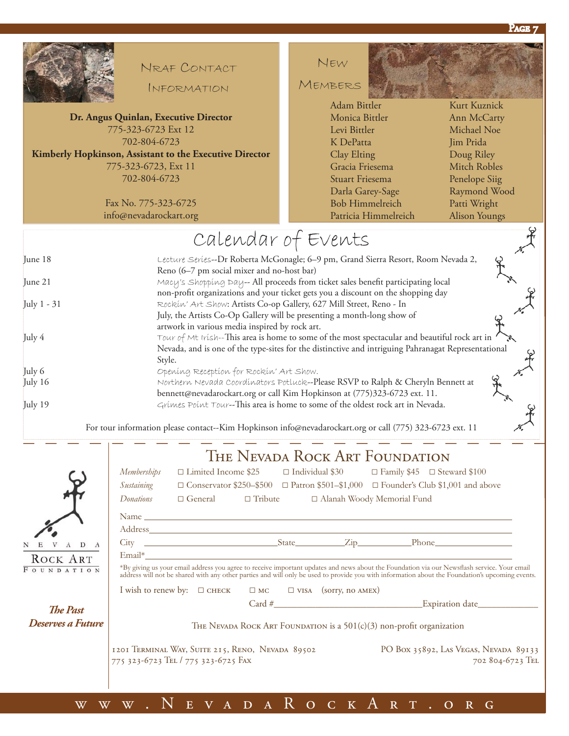



### NRAF CONTACT

INFORMATION

**Dr. Angus Quinlan, Executive Director** 775-323-6723 Ext 12 702-804-6723 **Kimberly Hopkinson, Assistant to the Executive Director**

> 775-323-6723, Ext 11 702-804-6723

> > Fax No. 775-323-6725 info@nevadarockart.org

### NEW

MEMBERS

Monica Bittler Levi Bittler K DePatta Clay Elting Gracia Friesema Stuart Friesema Darla Garey-Sage Bob Himmelreich Patricia Himmelreich

Kurt Kuznick Ann McCarty Michael Noe Jim Prida Doug Riley Mitch Robles Penelope Siig Raymond Wood Patti Wright Alison Youngs

### Calendar of Events June 18 Lecture Series--Dr Roberta McGonagle; 6–9 pm, Grand Sierra Resort, Room Nevada 2, Reno (6–7 pm social mixer and no-host bar) June 21 Macy's Shopping Day-- All proceeds from ticket sales benefit participating local non-profit organizations and your ticket gets you a discount on the shopping day July 1 - 31 Rockin' Art Show: Artists Co-op Gallery, 627 Mill Street, Reno - In July, the Artists Co-Op Gallery will be presenting a month-long show of artwork in various media inspired by rock art. July  $4$   $\hbox{Down of Mt }$  Irísh--This area is home to some of the most spectacular and beautiful rock art in Nevada, and is one of the type-sites for the distinctive and intriguing Pahranagat Representational Style. July 6 **Opening Reception** for Rockin' Art Show. July 16 Northern Nevada Coordinators Potluck--Please RSVP to Ralph & Cheryln Bennett at bennett@nevadarockart.org or call Kim Hopkinson at (775)323-6723 ext. 11. July 19 Grimes Point Tour--This area is home to some of the oldest rock art in Nevada. Adam Bittler<br>
Monica Bittler<br>
Levi Bittler<br>
Levi Bittler<br>
K DePatta<br>
K DePatta<br>
Clay Elting<br>
Gracia Friesema<br>
Stuart Friesema<br>
Stuart Friesema<br>
Parla Garey-Sage<br>
Raymond Woo<br>
Bob Himmelreich<br>
Patricia Himmelreich<br>
Patricia

For tour information please contact--Kim Hopkinson info@nevadarockart.org or call (775) 323-6723 ext. 11



## The Nevada Rock Art Foundation

|                   | <i>Memberships</i><br>$\Box$ Limited Income \$25                                                                                                                                                                                                                                               |                                                                                                                                                                                                                               | $\Box$ Individual \$30 |  |  | $\Box$ Family \$45 $\Box$ Steward \$100                   |                                                                                                    |  |  |
|-------------------|------------------------------------------------------------------------------------------------------------------------------------------------------------------------------------------------------------------------------------------------------------------------------------------------|-------------------------------------------------------------------------------------------------------------------------------------------------------------------------------------------------------------------------------|------------------------|--|--|-----------------------------------------------------------|----------------------------------------------------------------------------------------------------|--|--|
|                   | Sustaining                                                                                                                                                                                                                                                                                     |                                                                                                                                                                                                                               |                        |  |  |                                                           | $\Box$ Conservator \$250-\$500 $\Box$ Patron \$501-\$1,000 $\Box$ Founder's Club \$1,001 and above |  |  |
|                   | Donations<br>$\Box$ General $\Box$ Tribute                                                                                                                                                                                                                                                     |                                                                                                                                                                                                                               |                        |  |  | □ Alanah Woody Memorial Fund                              |                                                                                                    |  |  |
|                   |                                                                                                                                                                                                                                                                                                | Name and the same state of the same state of the same state of the same state of the same state of the same state of the same state of the same state of the same state of the same state of the same state of the same state |                        |  |  |                                                           |                                                                                                    |  |  |
|                   | Address and the contract of the contract of the contract of the contract of the contract of the contract of the contract of the contract of the contract of the contract of the contract of the contract of the contract of th                                                                 |                                                                                                                                                                                                                               |                        |  |  |                                                           |                                                                                                    |  |  |
| $A$ D $A$         |                                                                                                                                                                                                                                                                                                |                                                                                                                                                                                                                               |                        |  |  |                                                           |                                                                                                    |  |  |
| ROCK ART          |                                                                                                                                                                                                                                                                                                | $\n  Email*\n$                                                                                                                                                                                                                |                        |  |  |                                                           |                                                                                                    |  |  |
| OUNDATION         | *By giving us your email address you agree to receive important updates and news about the Foundation via our Newsflash service. Your email<br>address will not be shared with any other parties and will only be used to provide you with information about the Foundation's upcoming events. |                                                                                                                                                                                                                               |                        |  |  |                                                           |                                                                                                    |  |  |
|                   |                                                                                                                                                                                                                                                                                                | I wish to renew by: $\square$ CHECK $\square$ MC $\square$ VISA (sorry, no AMEX)                                                                                                                                              |                        |  |  |                                                           |                                                                                                    |  |  |
| <b>The Past</b>   |                                                                                                                                                                                                                                                                                                |                                                                                                                                                                                                                               |                        |  |  |                                                           |                                                                                                    |  |  |
| Deserves a Future | THE NEVADA ROCK ART FOUNDATION is a $501(c)(3)$ non-profit organization                                                                                                                                                                                                                        |                                                                                                                                                                                                                               |                        |  |  |                                                           |                                                                                                    |  |  |
|                   | 1201 TERMINAL WAY, SUITE 215, RENO, NEVADA 89502<br>775 323-6723 TEL / 775 323-6725 FAX                                                                                                                                                                                                        |                                                                                                                                                                                                                               |                        |  |  | PO Box 35892, Las Vegas, Nevada 89133<br>702 804-6723 TEL |                                                                                                    |  |  |
|                   |                                                                                                                                                                                                                                                                                                |                                                                                                                                                                                                                               |                        |  |  |                                                           |                                                                                                    |  |  |

### www.NevadaRockArt.org